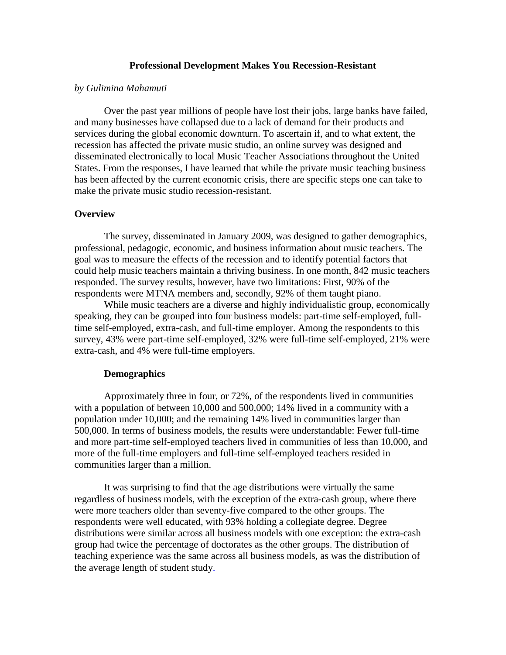#### **Professional Development Makes You Recession-Resistant**

#### *by Gulimina Mahamuti*

Over the past year millions of people have lost their jobs, large banks have failed, and many businesses have collapsed due to a lack of demand for their products and services during the global economic downturn. To ascertain if, and to what extent, the recession has affected the private music studio, an online survey was designed and disseminated electronically to local Music Teacher Associations throughout the United States. From the responses, I have learned that while the private music teaching business has been affected by the current economic crisis, there are specific steps one can take to make the private music studio recession-resistant.

#### **Overview**

The survey, disseminated in January 2009, was designed to gather demographics, professional, pedagogic, economic, and business information about music teachers. The goal was to measure the effects of the recession and to identify potential factors that could help music teachers maintain a thriving business. In one month, 842 music teachers responded. The survey results, however, have two limitations: First, 90% of the respondents were MTNA members and, secondly, 92% of them taught piano.

While music teachers are a diverse and highly individualistic group, economically speaking, they can be grouped into four business models: part-time self-employed, fulltime self-employed, extra-cash, and full-time employer. Among the respondents to this survey, 43% were part-time self-employed, 32% were full-time self-employed, 21% were extra-cash, and 4% were full-time employers.

#### **Demographics**

Approximately three in four, or 72%, of the respondents lived in communities with a population of between 10,000 and 500,000; 14% lived in a community with a population under 10,000; and the remaining 14% lived in communities larger than 500,000. In terms of business models, the results were understandable: Fewer full-time and more part-time self-employed teachers lived in communities of less than 10,000, and more of the full-time employers and full-time self-employed teachers resided in communities larger than a million.

It was surprising to find that the age distributions were virtually the same regardless of business models, with the exception of the extra-cash group, where there were more teachers older than seventy-five compared to the other groups. The respondents were well educated, with 93% holding a collegiate degree. Degree distributions were similar across all business models with one exception: the extra-cash group had twice the percentage of doctorates as the other groups. The distribution of teaching experience was the same across all business models, as was the distribution of the average length of student study.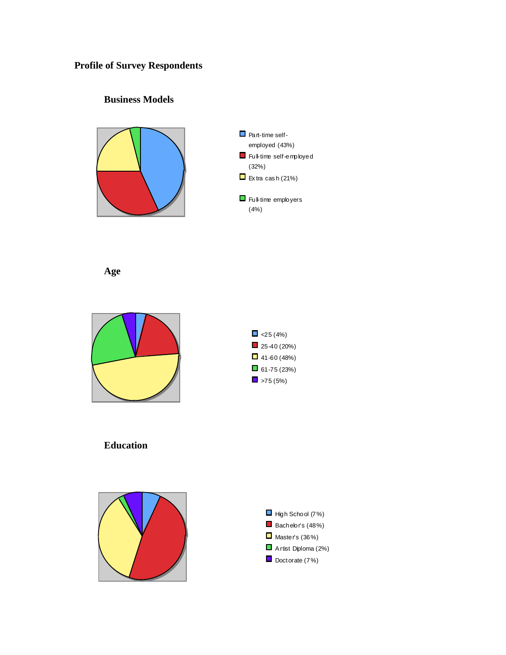# **Profile of Survey Respondents**

# **Business Models**





**Age**





**Education**



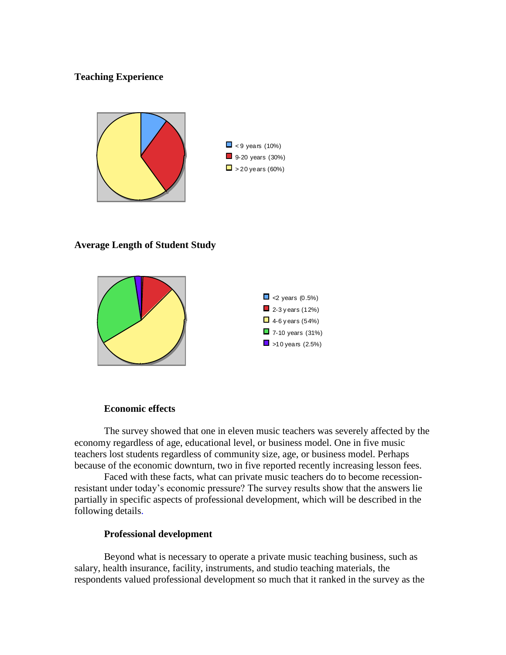# **Teaching Experience**



#### **Average Length of Student Study**



#### **Economic effects**

The survey showed that one in eleven music teachers was severely affected by the economy regardless of age, educational level, or business model. One in five music teachers lost students regardless of community size, age, or business model. Perhaps because of the economic downturn, two in five reported recently increasing lesson fees.

Faced with these facts, what can private music teachers do to become recessionresistant under today's economic pressure? The survey results show that the answers lie partially in specific aspects of professional development, which will be described in the following details.

# **Professional development**

Beyond what is necessary to operate a private music teaching business, such as salary, health insurance, facility, instruments, and studio teaching materials, the respondents valued professional development so much that it ranked in the survey as the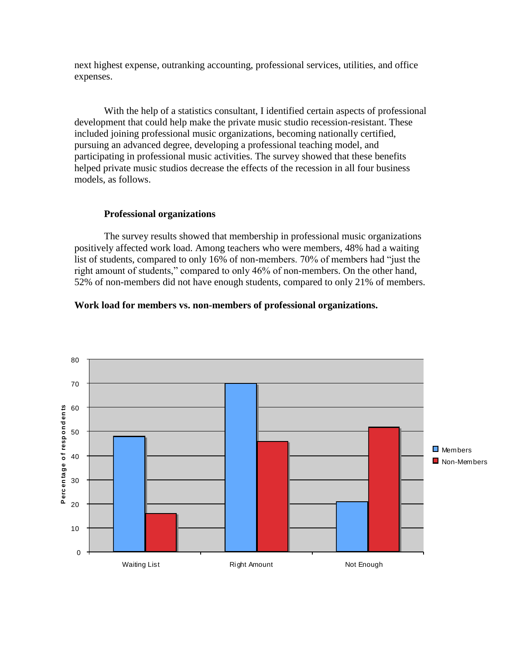next highest expense, outranking accounting, professional services, utilities, and office expenses.

With the help of a statistics consultant, I identified certain aspects of professional development that could help make the private music studio recession-resistant. These included joining professional music organizations, becoming nationally certified, pursuing an advanced degree, developing a professional teaching model, and participating in professional music activities. The survey showed that these benefits helped private music studios decrease the effects of the recession in all four business models, as follows.

# **Professional organizations**

The survey results showed that membership in professional music organizations positively affected work load. Among teachers who were members, 48% had a waiting list of students, compared to only 16% of non-members. 70% of members had "just the right amount of students," compared to only 46% of non-members. On the other hand, 52% of non-members did not have enough students, compared to only 21% of members.

#### **Work load for members vs. non-members of professional organizations.**

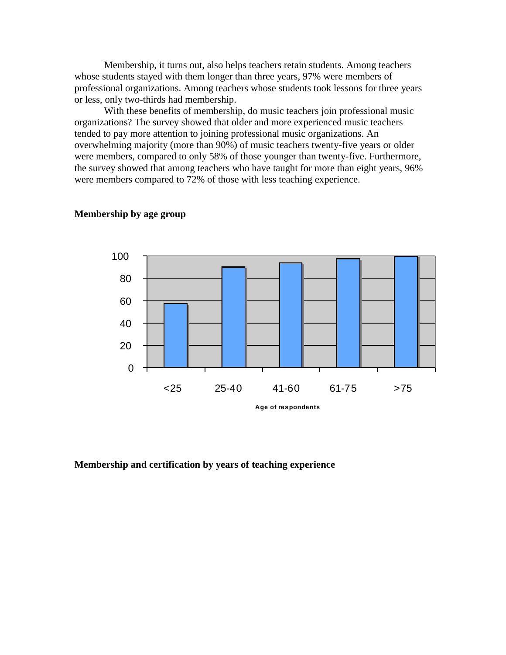Membership, it turns out, also helps teachers retain students. Among teachers whose students stayed with them longer than three years, 97% were members of professional organizations. Among teachers whose students took lessons for three years or less, only two-thirds had membership.

With these benefits of membership, do music teachers join professional music organizations? The survey showed that older and more experienced music teachers tended to pay more attention to joining professional music organizations. An overwhelming majority (more than 90%) of music teachers twenty-five years or older were members, compared to only 58% of those younger than twenty-five. Furthermore, the survey showed that among teachers who have taught for more than eight years, 96% were members compared to 72% of those with less teaching experience.



#### **Membership by age group**

#### **Membership and certification by years of teaching experience**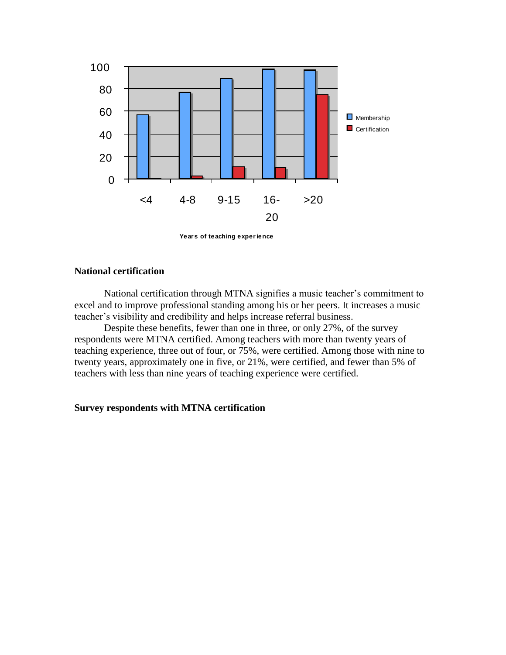

# **National certification**

National certification through MTNA signifies a music teacher's commitment to excel and to improve professional standing among his or her peers. It increases a music teacher's visibility and credibility and helps increase referral business.

Despite these benefits, fewer than one in three, or only 27%, of the survey respondents were MTNA certified. Among teachers with more than twenty years of teaching experience, three out of four, or 75%, were certified. Among those with nine to twenty years, approximately one in five, or 21%, were certified, and fewer than 5% of teachers with less than nine years of teaching experience were certified.

# **Survey respondents with MTNA certification**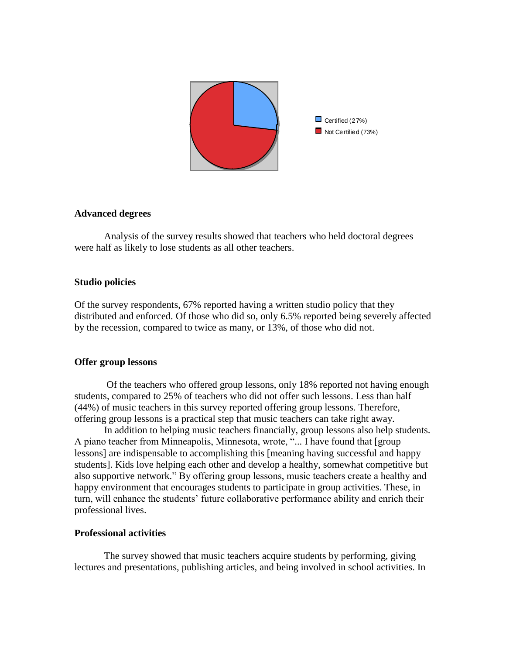

#### **Advanced degrees**

Analysis of the survey results showed that teachers who held doctoral degrees were half as likely to lose students as all other teachers.

# **Studio policies**

Of the survey respondents, 67% reported having a written studio policy that they distributed and enforced. Of those who did so, only 6.5% reported being severely affected by the recession, compared to twice as many, or 13%, of those who did not.

# **Offer group lessons**

Of the teachers who offered group lessons, only 18% reported not having enough students, compared to 25% of teachers who did not offer such lessons. Less than half (44%) of music teachers in this survey reported offering group lessons. Therefore, offering group lessons is a practical step that music teachers can take right away.

In addition to helping music teachers financially, group lessons also help students. A piano teacher from Minneapolis, Minnesota, wrote, "... I have found that [group lessons] are indispensable to accomplishing this [meaning having successful and happy students]. Kids love helping each other and develop a healthy, somewhat competitive but also supportive network." By offering group lessons, music teachers create a healthy and happy environment that encourages students to participate in group activities. These, in turn, will enhance the students' future collaborative performance ability and enrich their professional lives.

# **Professional activities**

The survey showed that music teachers acquire students by performing, giving lectures and presentations, publishing articles, and being involved in school activities. In